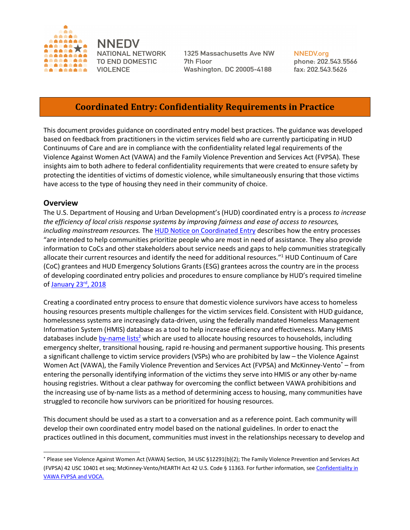

**NNEDV** NATIONAL NETWORK TO END DOMESTIC **VIOLENCE** 

1325 Massachusetts Ave NW 7th Floor **Washington, DC 20005-4188** 

**NNEDV.org** phone: 202.543.5566 fax: 202.543.5626

# **Coordinated Entry: Confidentiality Requirements in Practice**

This document provides guidance on coordinated entry model best practices. The guidance was developed based on feedback from practitioners in the victim services field who are currently participating in HUD Continuums of Care and are in compliance with the confidentiality related legal requirements of the Violence Against Women Act (VAWA) and the Family Violence Prevention and Services Act (FVPSA). These insights aim to both adhere to federal confidentiality requirements that were created to ensure safety by protecting the identities of victims of domestic violence, while simultaneously ensuring that those victims have access to the type of housing they need in their community of choice.

### **Overview**

The U.S. Department of Housing and Urban Development's (HUD) coordinated entry is a process *to increase the efficiency of local crisis response systems by improving fairness and ease of access to resources, including mainstream resources.* The HUD Notice on Coordinated Entry describes how the entry processes "are intended to help communities prioritize people who are most in need of assistance. They also provide information to CoCs and other stakeholders about service needs and gaps to help communities strategically allocate their current resources and identify the need for additional resources."<sup>1</sup> HUD Continuum of Care (CoC) grantees and HUD Emergency Solutions Grants (ESG) grantees across the country are in the process of developing coordinated entry policies and procedures to ensure compliance by HUD's required timeline of January 23<sup>rd</sup>, 2018

Creating a coordinated entry process to ensure that domestic violence survivors have access to homeless housing resources presents multiple challenges for the victim services field. Consistent with HUD guidance, homelessness systems are increasingly data-driven, using the federally mandated Homeless Management Information System (HMIS) database as a tool to help increase efficiency and effectiveness. Many HMIS databases include by-name lists<sup>2</sup> which are used to allocate housing resources to households, including emergency shelter, transitional housing, rapid re-housing and permanent supportive housing. This presents a significant challenge to victim service providers (VSPs) who are prohibited by law – the Violence Against Women Act (VAWA), the Family Violence Prevention and Services Act (FVPSA) and McKinney-Vento\* – from entering the personally identifying information of the victims they serve into HMIS or any other by-name housing registries. Without a clear pathway for overcoming the conflict between VAWA prohibitions and the increasing use of by-name lists as a method of determining access to housing, many communities have struggled to reconcile how survivors can be prioritized for housing resources.

This document should be used as a start to a conversation and as a reference point. Each community will develop their own coordinated entry model based on the national guidelines. In order to enact the practices outlined in this document, communities must invest in the relationships necessary to develop and

 <sup>\*</sup> Please see Violence Against Women Act (VAWA) Section, 34 USC §12291(b)(2); The Family Violence Prevention and Services Act (FVPSA) 42 USC 10401 et seq; McKinney-Vento/HEARTH Act 42 U.S. Code § 11363. For further information, see Confidentiality in VAWA FVPSA and VOCA.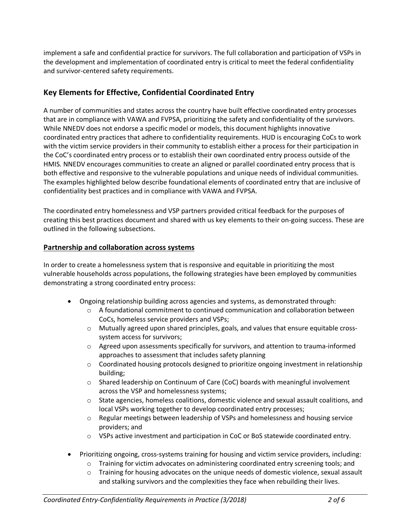implement a safe and confidential practice for survivors. The full collaboration and participation of VSPs in the development and implementation of coordinated entry is critical to meet the federal confidentiality and survivor-centered safety requirements.

## **Key Elements for Effective, Confidential Coordinated Entry**

A number of communities and states across the country have built effective coordinated entry processes that are in compliance with VAWA and FVPSA, prioritizing the safety and confidentiality of the survivors. While NNEDV does not endorse a specific model or models, this document highlights innovative coordinated entry practices that adhere to confidentiality requirements. HUD is encouraging CoCs to work with the victim service providers in their community to establish either a process for their participation in the CoC's coordinated entry process or to establish their own coordinated entry process outside of the HMIS*.* NNEDV encourages communities to create an aligned or parallel coordinated entry process that is both effective and responsive to the vulnerable populations and unique needs of individual communities. The examples highlighted below describe foundational elements of coordinated entry that are inclusive of confidentiality best practices and in compliance with VAWA and FVPSA.

The coordinated entry homelessness and VSP partners provided critical feedback for the purposes of creating this best practices document and shared with us key elements to their on-going success. These are outlined in the following subsections.

## **Partnership and collaboration across systems**

In order to create a homelessness system that is responsive and equitable in prioritizing the most vulnerable households across populations, the following strategies have been employed by communities demonstrating a strong coordinated entry process:

- Ongoing relationship building across agencies and systems, as demonstrated through:
	- $\circ$  A foundational commitment to continued communication and collaboration between CoCs, homeless service providers and VSPs;
	- $\circ$  Mutually agreed upon shared principles, goals, and values that ensure equitable crosssystem access for survivors;
	- $\circ$  Agreed upon assessments specifically for survivors, and attention to trauma-informed approaches to assessment that includes safety planning
	- $\circ$  Coordinated housing protocols designed to prioritize ongoing investment in relationship building;
	- o Shared leadership on Continuum of Care (CoC) boards with meaningful involvement across the VSP and homelessness systems;
	- $\circ$  State agencies, homeless coalitions, domestic violence and sexual assault coalitions, and local VSPs working together to develop coordinated entry processes;
	- $\circ$  Regular meetings between leadership of VSPs and homelessness and housing service providers; and
	- $\circ$  VSPs active investment and participation in CoC or BoS statewide coordinated entry.
- Prioritizing ongoing, cross-systems training for housing and victim service providers, including:
	- o Training for victim advocates on administering coordinated entry screening tools; and
	- $\circ$  Training for housing advocates on the unique needs of domestic violence, sexual assault and stalking survivors and the complexities they face when rebuilding their lives.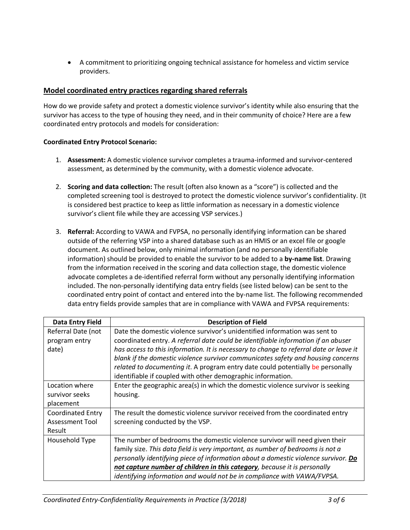• A commitment to prioritizing ongoing technical assistance for homeless and victim service providers.

### **Model coordinated entry practices regarding shared referrals**

How do we provide safety and protect a domestic violence survivor's identity while also ensuring that the survivor has access to the type of housing they need, and in their community of choice? Here are a few coordinated entry protocols and models for consideration:

### **Coordinated Entry Protocol Scenario:**

- 1. **Assessment:** A domestic violence survivor completes a trauma-informed and survivor-centered assessment, as determined by the community, with a domestic violence advocate.
- 2. **Scoring and data collection:** The result (often also known as a "score") is collected and the completed screening tool is destroyed to protect the domestic violence survivor's confidentiality. (It is considered best practice to keep as little information as necessary in a domestic violence survivor's client file while they are accessing VSP services.)
- 3. **Referral:** According to VAWA and FVPSA, no personally identifying information can be shared outside of the referring VSP into a shared database such as an HMIS or an excel file or google document. As outlined below, only minimal information (and no personally identifiable information) should be provided to enable the survivor to be added to a **by-name list**. Drawing from the information received in the scoring and data collection stage, the domestic violence advocate completes a de-identified referral form without any personally identifying information included. The non-personally identifying data entry fields (see listed below) can be sent to the coordinated entry point of contact and entered into the by-name list. The following recommended data entry fields provide samples that are in compliance with VAWA and FVPSA requirements:

| Data Entry Field         | <b>Description of Field</b>                                                            |  |  |  |  |
|--------------------------|----------------------------------------------------------------------------------------|--|--|--|--|
| Referral Date (not       | Date the domestic violence survivor's unidentified information was sent to             |  |  |  |  |
| program entry            | coordinated entry. A referral date could be identifiable information if an abuser      |  |  |  |  |
| date)                    | has access to this information. It is necessary to change to referral date or leave it |  |  |  |  |
|                          | blank if the domestic violence survivor communicates safety and housing concerns       |  |  |  |  |
|                          | related to documenting it. A program entry date could potentially be personally        |  |  |  |  |
|                          | identifiable if coupled with other demographic information.                            |  |  |  |  |
| Location where           | Enter the geographic area(s) in which the domestic violence survivor is seeking        |  |  |  |  |
| survivor seeks           | housing.                                                                               |  |  |  |  |
| placement                |                                                                                        |  |  |  |  |
| <b>Coordinated Entry</b> | The result the domestic violence survivor received from the coordinated entry          |  |  |  |  |
| Assessment Tool          | screening conducted by the VSP.                                                        |  |  |  |  |
| Result                   |                                                                                        |  |  |  |  |
| Household Type           | The number of bedrooms the domestic violence survivor will need given their            |  |  |  |  |
|                          | family size. This data field is very important, as number of bedrooms is not a         |  |  |  |  |
|                          | personally identifying piece of information about a domestic violence survivor. Do     |  |  |  |  |
|                          | not capture number of children in this category, because it is personally              |  |  |  |  |
|                          | identifying information and would not be in compliance with VAWA/FVPSA.                |  |  |  |  |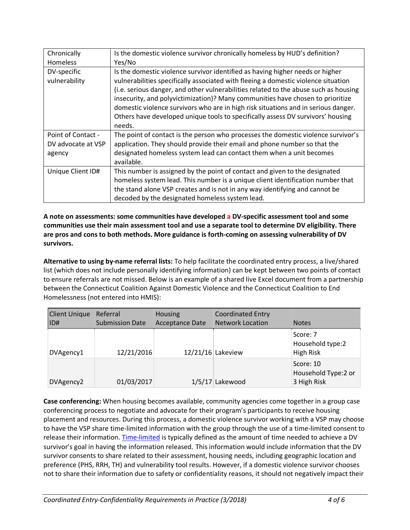| Chronically                  | Is the domestic violence survivor chronically homeless by HUD's definition?                                                                                                                                                                                                                                                                                                                                                                                                                                                      |  |  |  |  |
|------------------------------|----------------------------------------------------------------------------------------------------------------------------------------------------------------------------------------------------------------------------------------------------------------------------------------------------------------------------------------------------------------------------------------------------------------------------------------------------------------------------------------------------------------------------------|--|--|--|--|
| <b>Homeless</b>              | Yes/No                                                                                                                                                                                                                                                                                                                                                                                                                                                                                                                           |  |  |  |  |
| DV-specific<br>vulnerability | Is the domestic violence survivor identified as having higher needs or higher<br>vulnerabilities specifically associated with fleeing a domestic violence situation<br>(i.e. serious danger, and other vulnerabilities related to the abuse such as housing<br>insecurity, and polyvictimization)? Many communities have chosen to prioritize<br>domestic violence survivors who are in high risk situations and in serious danger.<br>Others have developed unique tools to specifically assess DV survivors' housing<br>needs. |  |  |  |  |
| Point of Contact -           | The point of contact is the person who processes the domestic violence survivor's                                                                                                                                                                                                                                                                                                                                                                                                                                                |  |  |  |  |
| DV advocate at VSP           | application. They should provide their email and phone number so that the                                                                                                                                                                                                                                                                                                                                                                                                                                                        |  |  |  |  |
| agency                       | designated homeless system lead can contact them when a unit becomes<br>available.                                                                                                                                                                                                                                                                                                                                                                                                                                               |  |  |  |  |
| Unique Client ID#            | This number is assigned by the point of contact and given to the designated<br>homeless system lead. This number is a unique client identification number that<br>the stand alone VSP creates and is not in any way identifying and cannot be<br>decoded by the designated homeless system lead.                                                                                                                                                                                                                                 |  |  |  |  |

**A note on assessments: some communities have developed a DV-specific assessment tool and some communities use their main assessment tool and use a separate tool to determine DV eligibility. There are pros and cons to both methods. More guidance is forth-coming on assessing vulnerability of DV survivors.** 

**Alternative to using by-name referral lists:** To help facilitate the coordinated entry process, a live/shared list (which does not include personally identifying information) can be kept between two points of contact to ensure referrals are not missed. Below is an example of a shared live Excel document from a partnership between the Connecticut Coalition Against Domestic Violence and the Connecticut Coalition to End Homelessness (not entered into HMIS):

| <b>Client Unique</b><br>IID# | Referral<br><b>Submission Date</b> | Housing<br>Acceptance Date | <b>Coordinated Entry</b><br><b>Network Location</b> | <b>Notes</b>                                     |
|------------------------------|------------------------------------|----------------------------|-----------------------------------------------------|--------------------------------------------------|
| DVAgency1                    | 12/21/2016                         |                            | $12/21/16$ Lakeview                                 | Score: 7<br>Household type:2<br><b>High Risk</b> |
| DVAgency2                    | 01/03/2017                         |                            | $1/5/17$ Lakewood                                   | Score: 10<br>Household Type:2 or<br>3 High Risk  |

**Case conferencing:** When housing becomes available, community agencies come together in a group case conferencing process to negotiate and advocate for their program's participants to receive housing placement and resources. During this process, a domestic violence survivor working with a VSP may choose to have the VSP share time-limited information with the group through the use of a time-limited consent to release their information. Time-limited is typically defined as the amount of time needed to achieve a DV survivor's goal in having the information released. This information would include information that the DV survivor consents to share related to their assessment, housing needs, including geographic location and preference (PHS, RRH, TH) and vulnerability tool results. However, if a domestic violence survivor chooses not to share their information due to safety or confidentiality reasons, it should not negatively impact their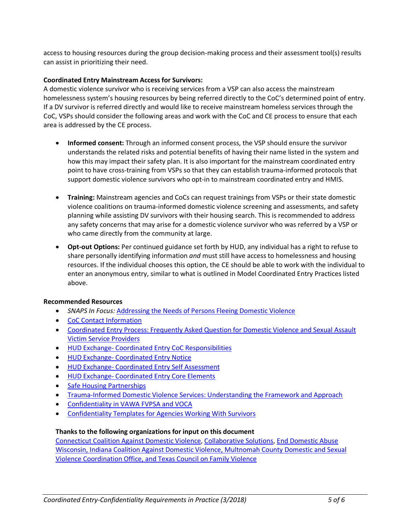access to housing resources during the group decision-making process and their assessment tool(s) results can assist in prioritizing their need.

#### **Coordinated Entry Mainstream Access for Survivors:**

A domestic violence survivor who is receiving services from a VSP can also access the mainstream homelessness system's housing resources by being referred directly to the CoC's determined point of entry. If a DV survivor is referred directly and would like to receive mainstream homeless services through the CoC, VSPs should consider the following areas and work with the CoC and CE process to ensure that each area is addressed by the CE process.

- **Informed consent:** Through an informed consent process, the VSP should ensure the survivor understands the related risks and potential benefits of having their name listed in the system and how this may impact their safety plan. It is also important for the mainstream coordinated entry point to have cross-training from VSPs so that they can establish trauma-informed protocols that support domestic violence survivors who opt-in to mainstream coordinated entry and HMIS.
- **Training:** Mainstream agencies and CoCs can request trainings from VSPs or their state domestic violence coalitions on trauma-informed domestic violence screening and assessments, and safety planning while assisting DV survivors with their housing search. This is recommended to address any safety concerns that may arise for a domestic violence survivor who was referred by a VSP or who came directly from the community at large.
- **Opt-out Options:** Per continued guidance set forth by HUD, any individual has a right to refuse to share personally identifying information *and* must still have access to homelessness and housing resources. If the individual chooses this option, the CE should be able to work with the individual to enter an anonymous entry, similar to what is outlined in Model Coordinated Entry Practices listed above.

#### **Recommended Resources**

- *SNAPS In Focus:* Addressing the Needs of Persons Fleeing Domestic Violence
- CoC Contact Information
- Coordinated Entry Process: Frequently Asked Question for Domestic Violence and Sexual Assault Victim Service Providers
- HUD Exchange- Coordinated Entry CoC Responsibilities
- HUD Exchange- Coordinated Entry Notice
- HUD Exchange- Coordinated Entry Self Assessment
- HUD Exchange- Coordinated Entry Core Elements
- Safe Housing Partnerships
- Trauma-Informed Domestic Violence Services: Understanding the Framework and Approach
- Confidentiality in VAWA FVPSA and VOCA
- Confidentiality Templates for Agencies Working With Survivors

### **Thanks to the following organizations for input on this document**

Connecticut Coalition Against Domestic Violence, Collaborative Solutions, End Domestic Abuse Wisconsin, Indiana Coalition Against Domestic Violence, Multnomah County Domestic and Sexual Violence Coordination Office, and Texas Council on Family Violence